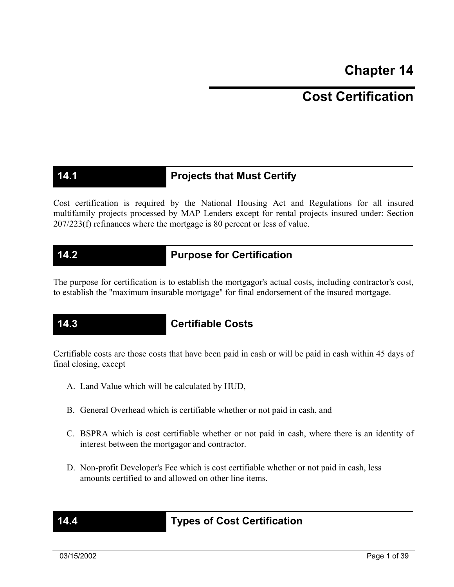**Chapter 14** 

# **Cost Certification**

# **14.1 Projects that Must Certify**

Cost certification is required by the National Housing Act and Regulations for all insured multifamily projects processed by MAP Lenders except for rental projects insured under: Section 207/223(f) refinances where the mortgage is 80 percent or less of value.

### **14.2 Purpose for Certification**

The purpose for certification is to establish the mortgagor's actual costs, including contractor's cost, to establish the "maximum insurable mortgage" for final endorsement of the insured mortgage.

### **14.3 Certifiable Costs**

Certifiable costs are those costs that have been paid in cash or will be paid in cash within 45 days of final closing, except

- A. Land Value which will be calculated by HUD,
- B. General Overhead which is certifiable whether or not paid in cash, and
- C. BSPRA which is cost certifiable whether or not paid in cash, where there is an identity of interest between the mortgagor and contractor.
- D. Non-profit Developer's Fee which is cost certifiable whether or not paid in cash, less amounts certified to and allowed on other line items.

# **14.4 Types of Cost Certification**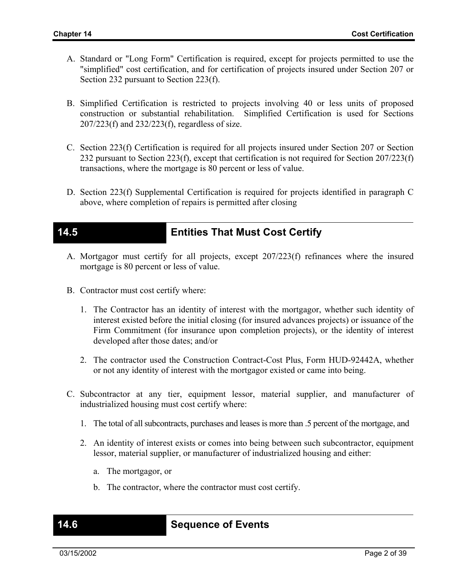- A. Standard or "Long Form" Certification is required, except for projects permitted to use the "simplified" cost certification, and for certification of projects insured under Section 207 or Section 232 pursuant to Section 223(f).
- B. Simplified Certification is restricted to projects involving 40 or less units of proposed construction or substantial rehabilitation. Simplified Certification is used for Sections 207/223(f) and 232/223(f), regardless of size.
- C. Section 223(f) Certification is required for all projects insured under Section 207 or Section 232 pursuant to Section 223(f), except that certification is not required for Section 207/223(f) transactions, where the mortgage is 80 percent or less of value.
- D. Section 223(f) Supplemental Certification is required for projects identified in paragraph C above, where completion of repairs is permitted after closing

### **14.5 Entities That Must Cost Certify**

- A. Mortgagor must certify for all projects, except 207/223(f) refinances where the insured mortgage is 80 percent or less of value.
- B. Contractor must cost certify where:
	- 1. The Contractor has an identity of interest with the mortgagor, whether such identity of interest existed before the initial closing (for insured advances projects) or issuance of the Firm Commitment (for insurance upon completion projects), or the identity of interest developed after those dates; and/or
	- 2. The contractor used the Construction Contract-Cost Plus, Form HUD-92442A, whether or not any identity of interest with the mortgagor existed or came into being.
- C. Subcontractor at any tier, equipment lessor, material supplier, and manufacturer of industrialized housing must cost certify where:
	- 1. The total of all subcontracts, purchases and leases is more than .5 percent of the mortgage, and
	- 2. An identity of interest exists or comes into being between such subcontractor, equipment lessor, material supplier, or manufacturer of industrialized housing and either:
		- a. The mortgagor, or
		- b. The contractor, where the contractor must cost certify.

### **Sequence of Events**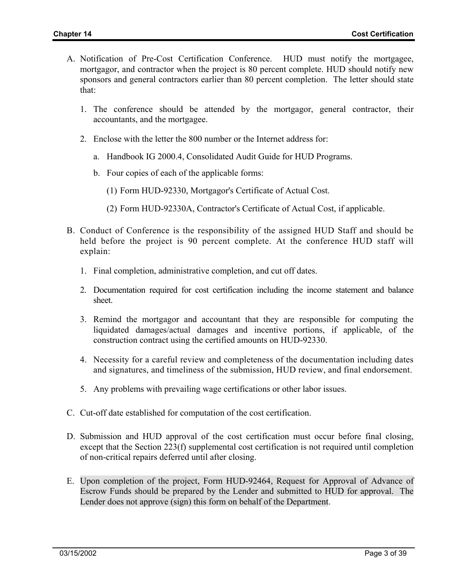- A. Notification of Pre-Cost Certification Conference. HUD must notify the mortgagee, mortgagor, and contractor when the project is 80 percent complete. HUD should notify new sponsors and general contractors earlier than 80 percent completion. The letter should state that:
	- 1. The conference should be attended by the mortgagor, general contractor, their accountants, and the mortgagee.
	- 2. Enclose with the letter the 800 number or the Internet address for:
		- a. Handbook IG 2000.4, Consolidated Audit Guide for HUD Programs.
		- b. Four copies of each of the applicable forms:
			- (1) Form HUD-92330, Mortgagor's Certificate of Actual Cost.
			- (2) Form HUD-92330A, Contractor's Certificate of Actual Cost, if applicable.
- B. Conduct of Conference is the responsibility of the assigned HUD Staff and should be held before the project is 90 percent complete. At the conference HUD staff will explain:
	- 1. Final completion, administrative completion, and cut off dates.
	- 2. Documentation required for cost certification including the income statement and balance sheet.
	- 3. Remind the mortgagor and accountant that they are responsible for computing the liquidated damages/actual damages and incentive portions, if applicable, of the construction contract using the certified amounts on HUD-92330.
	- 4. Necessity for a careful review and completeness of the documentation including dates and signatures, and timeliness of the submission, HUD review, and final endorsement.
	- 5. Any problems with prevailing wage certifications or other labor issues.
- C. Cut-off date established for computation of the cost certification.
- D. Submission and HUD approval of the cost certification must occur before final closing, except that the Section 223(f) supplemental cost certification is not required until completion of non-critical repairs deferred until after closing.
- E. Upon completion of the project, Form HUD-92464, Request for Approval of Advance of Escrow Funds should be prepared by the Lender and submitted to HUD for approval. The Lender does not approve (sign) this form on behalf of the Department.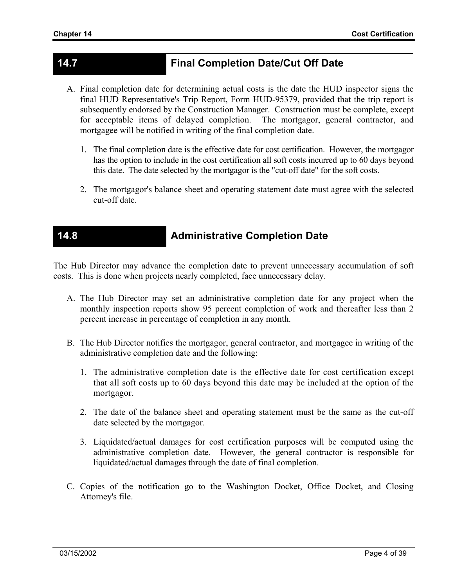# **14.7 Final Completion Date/Cut Off Date**

- A. Final completion date for determining actual costs is the date the HUD inspector signs the final HUD Representative's Trip Report, Form HUD-95379, provided that the trip report is subsequently endorsed by the Construction Manager. Construction must be complete, except for acceptable items of delayed completion. The mortgagor, general contractor, and mortgagee will be notified in writing of the final completion date.
	- 1. The final completion date is the effective date for cost certification. However, the mortgagor has the option to include in the cost certification all soft costs incurred up to 60 days beyond this date. The date selected by the mortgagor is the "cut-off date" for the soft costs.
	- 2. The mortgagor's balance sheet and operating statement date must agree with the selected cut-off date.

# **14.8 Administrative Completion Date**

The Hub Director may advance the completion date to prevent unnecessary accumulation of soft costs. This is done when projects nearly completed, face unnecessary delay.

- A. The Hub Director may set an administrative completion date for any project when the monthly inspection reports show 95 percent completion of work and thereafter less than 2 percent increase in percentage of completion in any month.
- B. The Hub Director notifies the mortgagor, general contractor, and mortgagee in writing of the administrative completion date and the following:
	- 1. The administrative completion date is the effective date for cost certification except that all soft costs up to 60 days beyond this date may be included at the option of the mortgagor.
	- 2. The date of the balance sheet and operating statement must be the same as the cut-off date selected by the mortgagor.
	- 3. Liquidated/actual damages for cost certification purposes will be computed using the administrative completion date. However, the general contractor is responsible for liquidated/actual damages through the date of final completion.
- C. Copies of the notification go to the Washington Docket, Office Docket, and Closing Attorney's file.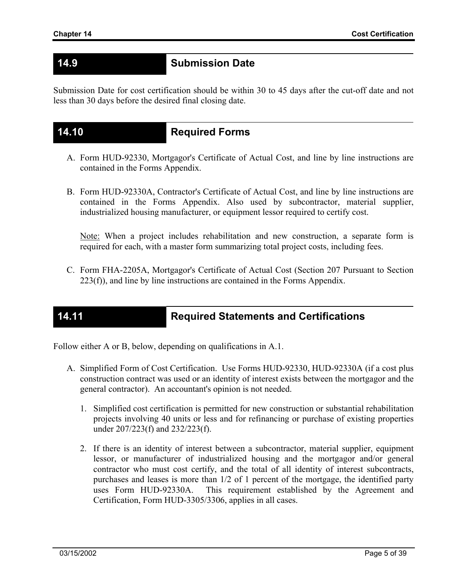## **14.9 Submission Date**

Submission Date for cost certification should be within 30 to 45 days after the cut-off date and not less than 30 days before the desired final closing date.

### **14.10 Required Forms**

- A. Form HUD-92330, Mortgagor's Certificate of Actual Cost, and line by line instructions are contained in the Forms Appendix.
- B. Form HUD-92330A, Contractor's Certificate of Actual Cost, and line by line instructions are contained in the Forms Appendix. Also used by subcontractor, material supplier, industrialized housing manufacturer, or equipment lessor required to certify cost.

Note: When a project includes rehabilitation and new construction, a separate form is required for each, with a master form summarizing total project costs, including fees.

C. Form FHA-2205A, Mortgagor's Certificate of Actual Cost (Section 207 Pursuant to Section 223(f)), and line by line instructions are contained in the Forms Appendix.

### **14.11 Required Statements and Certifications**

Follow either A or B, below, depending on qualifications in A.1.

- A. Simplified Form of Cost Certification. Use Forms HUD-92330, HUD-92330A (if a cost plus construction contract was used or an identity of interest exists between the mortgagor and the general contractor). An accountant's opinion is not needed.
	- 1. Simplified cost certification is permitted for new construction or substantial rehabilitation projects involving 40 units or less and for refinancing or purchase of existing properties under 207/223(f) and 232/223(f).
	- 2. If there is an identity of interest between a subcontractor, material supplier, equipment lessor, or manufacturer of industrialized housing and the mortgagor and/or general contractor who must cost certify, and the total of all identity of interest subcontracts, purchases and leases is more than 1/2 of 1 percent of the mortgage, the identified party uses Form HUD-92330A. This requirement established by the Agreement and Certification, Form HUD-3305/3306, applies in all cases.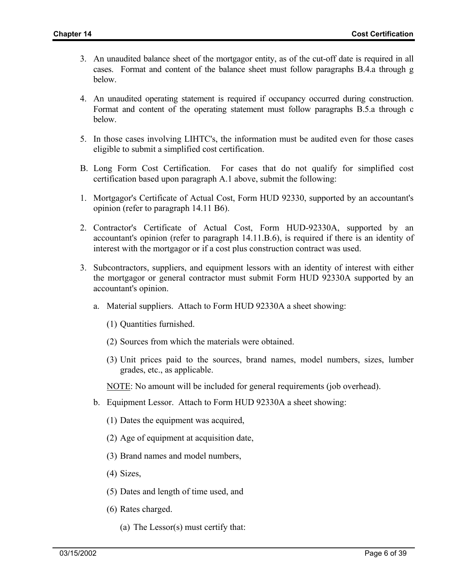- 3. An unaudited balance sheet of the mortgagor entity, as of the cut-off date is required in all cases. Format and content of the balance sheet must follow paragraphs B.4.a through g below.
- 4. An unaudited operating statement is required if occupancy occurred during construction. Format and content of the operating statement must follow paragraphs B.5.a through c below.
- 5. In those cases involving LIHTC's, the information must be audited even for those cases eligible to submit a simplified cost certification.
- B. Long Form Cost Certification. For cases that do not qualify for simplified cost certification based upon paragraph A.1 above, submit the following:
- 1. Mortgagor's Certificate of Actual Cost, Form HUD 92330, supported by an accountant's opinion (refer to paragraph 14.11 B6).
- 2. Contractor's Certificate of Actual Cost, Form HUD-92330A, supported by an accountant's opinion (refer to paragraph 14.11.B.6), is required if there is an identity of interest with the mortgagor or if a cost plus construction contract was used.
- 3. Subcontractors, suppliers, and equipment lessors with an identity of interest with either the mortgagor or general contractor must submit Form HUD 92330A supported by an accountant's opinion.
	- a. Material suppliers. Attach to Form HUD 92330A a sheet showing:
		- (1) Quantities furnished.
		- (2) Sources from which the materials were obtained.
		- (3) Unit prices paid to the sources, brand names, model numbers, sizes, lumber grades, etc., as applicable.
		- NOTE: No amount will be included for general requirements (job overhead).
	- b. Equipment Lessor. Attach to Form HUD 92330A a sheet showing:
		- (1) Dates the equipment was acquired,
		- (2) Age of equipment at acquisition date,
		- (3) Brand names and model numbers,
		- (4) Sizes,
		- (5) Dates and length of time used, and
		- (6) Rates charged.
			- (a) The Lessor(s) must certify that: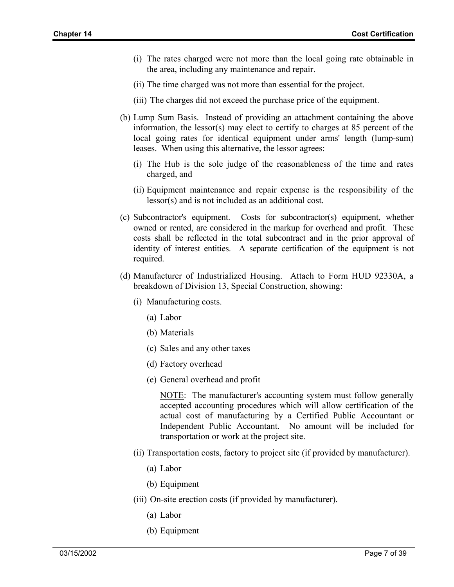- (i) The rates charged were not more than the local going rate obtainable in the area, including any maintenance and repair.
- (ii) The time charged was not more than essential for the project.
- (iii) The charges did not exceed the purchase price of the equipment.
- (b) Lump Sum Basis. Instead of providing an attachment containing the above information, the lessor(s) may elect to certify to charges at 85 percent of the local going rates for identical equipment under arms' length (lump-sum) leases. When using this alternative, the lessor agrees:
	- (i) The Hub is the sole judge of the reasonableness of the time and rates charged, and
	- (ii) Equipment maintenance and repair expense is the responsibility of the lessor(s) and is not included as an additional cost.
- (c) Subcontractor's equipment. Costs for subcontractor(s) equipment, whether owned or rented, are considered in the markup for overhead and profit. These costs shall be reflected in the total subcontract and in the prior approval of identity of interest entities. A separate certification of the equipment is not required.
- (d) Manufacturer of Industrialized Housing. Attach to Form HUD 92330A, a breakdown of Division 13, Special Construction, showing:
	- (i) Manufacturing costs.
		- (a) Labor
		- (b) Materials
		- (c) Sales and any other taxes
		- (d) Factory overhead
		- (e) General overhead and profit

NOTE: The manufacturer's accounting system must follow generally accepted accounting procedures which will allow certification of the actual cost of manufacturing by a Certified Public Accountant or Independent Public Accountant. No amount will be included for transportation or work at the project site.

- (ii) Transportation costs, factory to project site (if provided by manufacturer).
	- (a) Labor
	- (b) Equipment
- (iii) On-site erection costs (if provided by manufacturer).
	- (a) Labor
	- (b) Equipment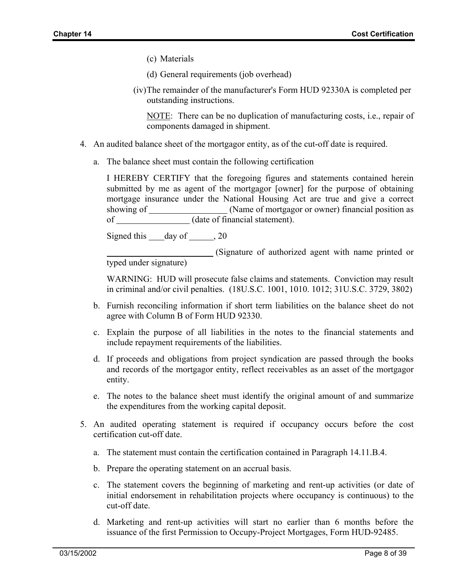- (c) Materials
- (d) General requirements (job overhead)
- (iv) The remainder of the manufacturer's Form HUD 92330A is completed per outstanding instructions.

NOTE: There can be no duplication of manufacturing costs, i.e., repair of components damaged in shipment.

- 4. An audited balance sheet of the mortgagor entity, as of the cut-off date is required.
	- a. The balance sheet must contain the following certification

I HEREBY CERTIFY that the foregoing figures and statements contained herein submitted by me as agent of the mortgagor [owner] for the purpose of obtaining mortgage insurance under the National Housing Act are true and give a correct showing of (Name of mortgagor or owner) financial position as of (date of financial statement).

Signed this day of 30, 20

 (Signature of authorized agent with name printed or typed under signature)

WARNING: HUD will prosecute false claims and statements. Conviction may result in criminal and/or civil penalties. (18U.S.C. 1001, 1010. 1012; 31U.S.C. 3729, 3802)

- b. Furnish reconciling information if short term liabilities on the balance sheet do not agree with Column B of Form HUD 92330.
- c. Explain the purpose of all liabilities in the notes to the financial statements and include repayment requirements of the liabilities.
- d. If proceeds and obligations from project syndication are passed through the books and records of the mortgagor entity, reflect receivables as an asset of the mortgagor entity.
- e. The notes to the balance sheet must identify the original amount of and summarize the expenditures from the working capital deposit.
- 5. An audited operating statement is required if occupancy occurs before the cost certification cut-off date.
	- a. The statement must contain the certification contained in Paragraph 14.11.B.4.
	- b. Prepare the operating statement on an accrual basis.
	- c. The statement covers the beginning of marketing and rent-up activities (or date of initial endorsement in rehabilitation projects where occupancy is continuous) to the cut-off date.
	- d. Marketing and rent-up activities will start no earlier than 6 months before the issuance of the first Permission to Occupy-Project Mortgages, Form HUD-92485.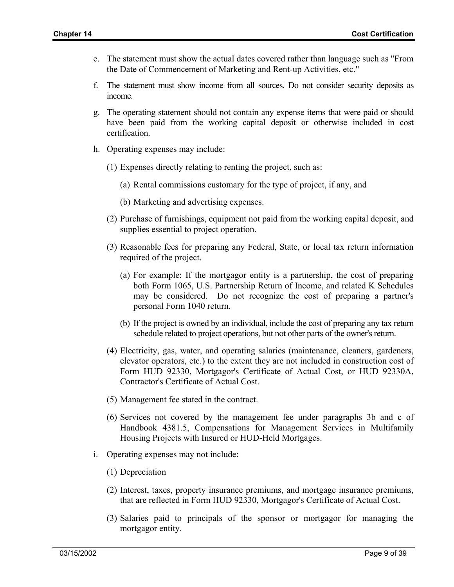- e. The statement must show the actual dates covered rather than language such as "From the Date of Commencement of Marketing and Rent-up Activities, etc."
- f. The statement must show income from all sources. Do not consider security deposits as income.
- g. The operating statement should not contain any expense items that were paid or should have been paid from the working capital deposit or otherwise included in cost certification.
- h. Operating expenses may include:
	- (1) Expenses directly relating to renting the project, such as:
		- (a) Rental commissions customary for the type of project, if any, and
		- (b) Marketing and advertising expenses.
	- (2) Purchase of furnishings, equipment not paid from the working capital deposit, and supplies essential to project operation.
	- (3) Reasonable fees for preparing any Federal, State, or local tax return information required of the project.
		- (a) For example: If the mortgagor entity is a partnership, the cost of preparing both Form 1065, U.S. Partnership Return of Income, and related K Schedules may be considered. Do not recognize the cost of preparing a partner's personal Form 1040 return.
		- (b) If the project is owned by an individual, include the cost of preparing any tax return schedule related to project operations, but not other parts of the owner's return.
	- (4) Electricity, gas, water, and operating salaries (maintenance, cleaners, gardeners, elevator operators, etc.) to the extent they are not included in construction cost of Form HUD 92330, Mortgagor's Certificate of Actual Cost, or HUD 92330A, Contractor's Certificate of Actual Cost.
	- (5) Management fee stated in the contract.
	- (6) Services not covered by the management fee under paragraphs 3b and c of Handbook 4381.5, Compensations for Management Services in Multifamily Housing Projects with Insured or HUD-Held Mortgages.
- i. Operating expenses may not include:
	- (1) Depreciation
	- (2) Interest, taxes, property insurance premiums, and mortgage insurance premiums, that are reflected in Form HUD 92330, Mortgagor's Certificate of Actual Cost.
	- (3) Salaries paid to principals of the sponsor or mortgagor for managing the mortgagor entity.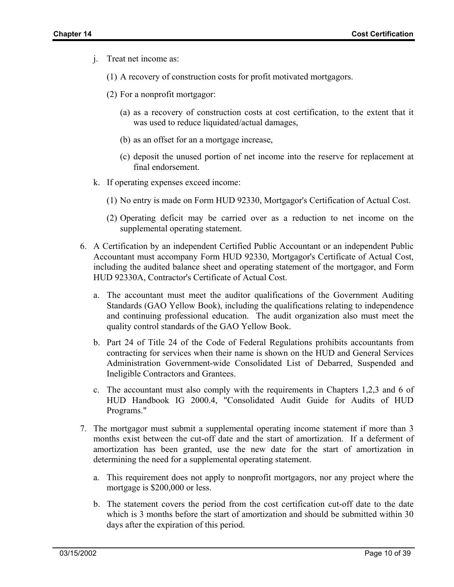- j. Treat net income as:
	- (1) A recovery of construction costs for profit motivated mortgagors.
	- (2) For a nonprofit mortgagor:
		- (a) as a recovery of construction costs at cost certification, to the extent that it was used to reduce liquidated/actual damages,
		- (b) as an offset for an a mortgage increase,
		- (c) deposit the unused portion of net income into the reserve for replacement at final endorsement.
- k. If operating expenses exceed income:
	- (1) No entry is made on Form HUD 92330, Mortgagor's Certification of Actual Cost.
	- (2) Operating deficit may be carried over as a reduction to net income on the supplemental operating statement.
- 6. A Certification by an independent Certified Public Accountant or an independent Public Accountant must accompany Form HUD 92330, Mortgagor's Certificate of Actual Cost, including the audited balance sheet and operating statement of the mortgagor, and Form HUD 92330A, Contractor's Certificate of Actual Cost.
	- a. The accountant must meet the auditor qualifications of the Government Auditing Standards (GAO Yellow Book), including the qualifications relating to independence and continuing professional education. The audit organization also must meet the quality control standards of the GAO Yellow Book.
	- b. Part 24 of Title 24 of the Code of Federal Regulations prohibits accountants from contracting for services when their name is shown on the HUD and General Services Administration Government-wide Consolidated List of Debarred, Suspended and Ineligible Contractors and Grantees.
	- c. The accountant must also comply with the requirements in Chapters 1,2,3 and 6 of HUD Handbook IG 2000.4, "Consolidated Audit Guide for Audits of HUD Programs."
- 7. The mortgagor must submit a supplemental operating income statement if more than 3 months exist between the cut-off date and the start of amortization. If a deferment of amortization has been granted, use the new date for the start of amortization in determining the need for a supplemental operating statement.
	- a. This requirement does not apply to nonprofit mortgagors, nor any project where the mortgage is \$200,000 or less.
	- b. The statement covers the period from the cost certification cut-off date to the date which is 3 months before the start of amortization and should be submitted within 30 days after the expiration of this period.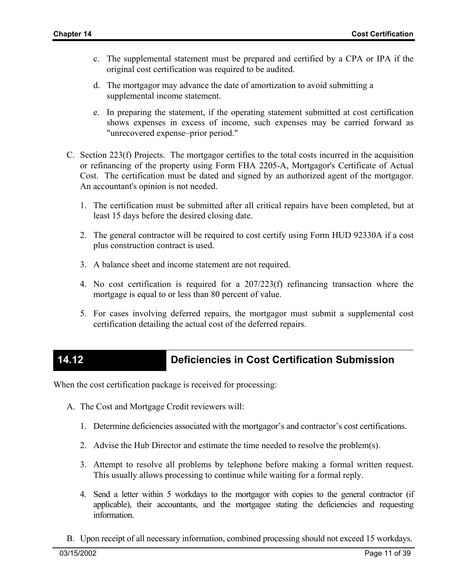- c. The supplemental statement must be prepared and certified by a CPA or IPA if the original cost certification was required to be audited.
- d. The mortgagor may advance the date of amortization to avoid submitting a supplemental income statement.
- e. In preparing the statement, if the operating statement submitted at cost certification shows expenses in excess of income, such expenses may be carried forward as "unrecovered expense–prior period."
- C. Section 223(f) Projects. The mortgagor certifies to the total costs incurred in the acquisition or refinancing of the property using Form FHA 2205-A, Mortgagor's Certificate of Actual Cost. The certification must be dated and signed by an authorized agent of the mortgagor. An accountant's opinion is not needed.
	- 1. The certification must be submitted after all critical repairs have been completed, but at least 15 days before the desired closing date.
	- 2. The general contractor will be required to cost certify using Form HUD 92330A if a cost plus construction contract is used.
	- 3. A balance sheet and income statement are not required.
	- 4. No cost certification is required for a 207/223(f) refinancing transaction where the mortgage is equal to or less than 80 percent of value.
	- 5. For cases involving deferred repairs, the mortgagor must submit a supplemental cost certification detailing the actual cost of the deferred repairs.

# **14.12 Deficiencies in Cost Certification Submission**

When the cost certification package is received for processing:

- A. The Cost and Mortgage Credit reviewers will:
	- 1. Determine deficiencies associated with the mortgagor's and contractor's cost certifications.
	- 2. Advise the Hub Director and estimate the time needed to resolve the problem(s).
	- 3. Attempt to resolve all problems by telephone before making a formal written request. This usually allows processing to continue while waiting for a formal reply.
	- 4. Send a letter within 5 workdays to the mortgagor with copies to the general contractor (if applicable), their accountants, and the mortgagee stating the deficiencies and requesting information.
- B. Upon receipt of all necessary information, combined processing should not exceed 15 workdays.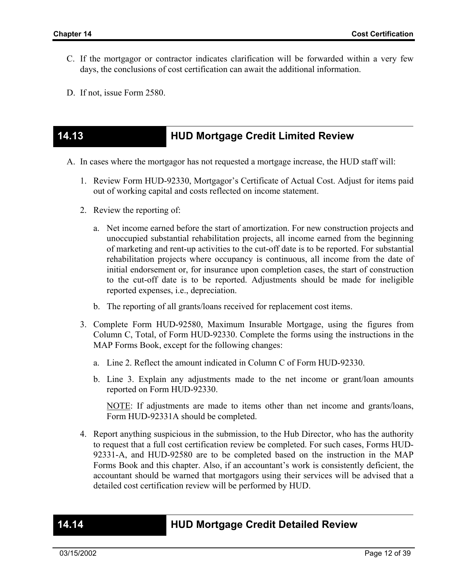- C. If the mortgagor or contractor indicates clarification will be forwarded within a very few days, the conclusions of cost certification can await the additional information.
- D. If not, issue Form 2580.

### **14.13 HUD Mortgage Credit Limited Review**

- A. In cases where the mortgagor has not requested a mortgage increase, the HUD staff will:
	- 1. Review Form HUD-92330, Mortgagor's Certificate of Actual Cost. Adjust for items paid out of working capital and costs reflected on income statement.
	- 2. Review the reporting of:
		- a. Net income earned before the start of amortization. For new construction projects and unoccupied substantial rehabilitation projects, all income earned from the beginning of marketing and rent-up activities to the cut-off date is to be reported. For substantial rehabilitation projects where occupancy is continuous, all income from the date of initial endorsement or, for insurance upon completion cases, the start of construction to the cut-off date is to be reported. Adjustments should be made for ineligible reported expenses, i.e., depreciation.
		- b. The reporting of all grants/loans received for replacement cost items.
	- 3. Complete Form HUD-92580, Maximum Insurable Mortgage, using the figures from Column C, Total, of Form HUD-92330. Complete the forms using the instructions in the MAP Forms Book, except for the following changes:
		- a. Line 2. Reflect the amount indicated in Column C of Form HUD-92330.
		- b. Line 3. Explain any adjustments made to the net income or grant/loan amounts reported on Form HUD-92330.

NOTE: If adjustments are made to items other than net income and grants/loans, Form HUD-92331A should be completed.

4. Report anything suspicious in the submission, to the Hub Director, who has the authority to request that a full cost certification review be completed. For such cases, Forms HUD-92331-A, and HUD-92580 are to be completed based on the instruction in the MAP Forms Book and this chapter. Also, if an accountant's work is consistently deficient, the accountant should be warned that mortgagors using their services will be advised that a detailed cost certification review will be performed by HUD.

### **14.14 HUD Mortgage Credit Detailed Review**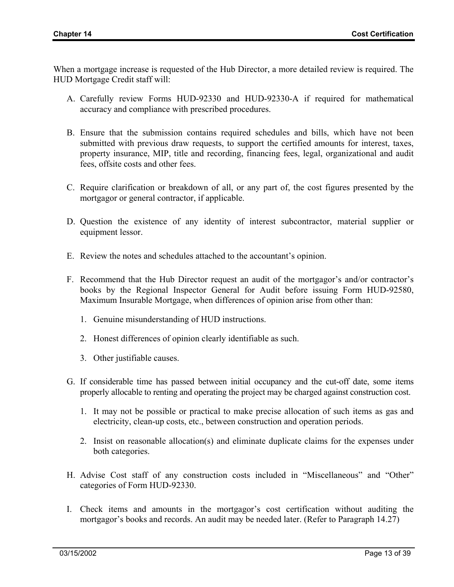When a mortgage increase is requested of the Hub Director, a more detailed review is required. The HUD Mortgage Credit staff will:

- A. Carefully review Forms HUD-92330 and HUD-92330-A if required for mathematical accuracy and compliance with prescribed procedures.
- B. Ensure that the submission contains required schedules and bills, which have not been submitted with previous draw requests, to support the certified amounts for interest, taxes, property insurance, MIP, title and recording, financing fees, legal, organizational and audit fees, offsite costs and other fees.
- C. Require clarification or breakdown of all, or any part of, the cost figures presented by the mortgagor or general contractor, if applicable.
- D. Question the existence of any identity of interest subcontractor, material supplier or equipment lessor.
- E. Review the notes and schedules attached to the accountant's opinion.
- F. Recommend that the Hub Director request an audit of the mortgagor's and/or contractor's books by the Regional Inspector General for Audit before issuing Form HUD-92580, Maximum Insurable Mortgage, when differences of opinion arise from other than:
	- 1. Genuine misunderstanding of HUD instructions.
	- 2. Honest differences of opinion clearly identifiable as such.
	- 3. Other justifiable causes.
- G. If considerable time has passed between initial occupancy and the cut-off date, some items properly allocable to renting and operating the project may be charged against construction cost.
	- 1. It may not be possible or practical to make precise allocation of such items as gas and electricity, clean-up costs, etc., between construction and operation periods.
	- 2. Insist on reasonable allocation(s) and eliminate duplicate claims for the expenses under both categories.
- H. Advise Cost staff of any construction costs included in "Miscellaneous" and "Other" categories of Form HUD-92330.
- I. Check items and amounts in the mortgagor's cost certification without auditing the mortgagor's books and records. An audit may be needed later. (Refer to Paragraph 14.27)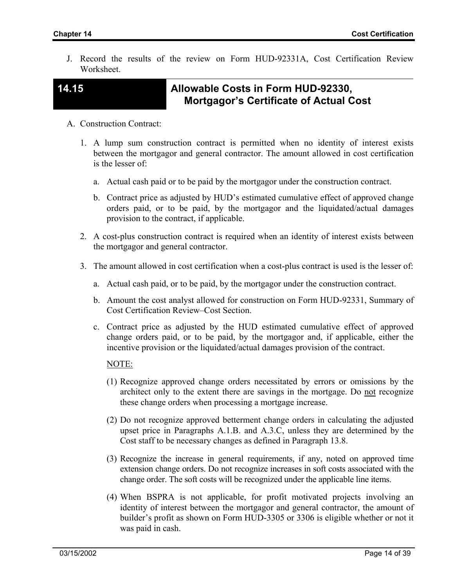J. Record the results of the review on Form HUD-92331A, Cost Certification Review **Worksheet** 

## **14.15 Allowable Costs in Form HUD-92330, Mortgagor's Certificate of Actual Cost**

- A. Construction Contract:
	- 1. A lump sum construction contract is permitted when no identity of interest exists between the mortgagor and general contractor. The amount allowed in cost certification is the lesser of:
		- a. Actual cash paid or to be paid by the mortgagor under the construction contract.
		- b. Contract price as adjusted by HUD's estimated cumulative effect of approved change orders paid, or to be paid, by the mortgagor and the liquidated/actual damages provision to the contract, if applicable.
	- 2. A cost-plus construction contract is required when an identity of interest exists between the mortgagor and general contractor.
	- 3. The amount allowed in cost certification when a cost-plus contract is used is the lesser of:
		- a. Actual cash paid, or to be paid, by the mortgagor under the construction contract.
		- b. Amount the cost analyst allowed for construction on Form HUD-92331, Summary of Cost Certification Review–Cost Section.
		- c. Contract price as adjusted by the HUD estimated cumulative effect of approved change orders paid, or to be paid, by the mortgagor and, if applicable, either the incentive provision or the liquidated/actual damages provision of the contract.

### NOTE:

- (1) Recognize approved change orders necessitated by errors or omissions by the architect only to the extent there are savings in the mortgage. Do not recognize these change orders when processing a mortgage increase.
- (2) Do not recognize approved betterment change orders in calculating the adjusted upset price in Paragraphs A.1.B. and A.3.C, unless they are determined by the Cost staff to be necessary changes as defined in Paragraph 13.8.
- (3) Recognize the increase in general requirements, if any, noted on approved time extension change orders. Do not recognize increases in soft costs associated with the change order. The soft costs will be recognized under the applicable line items.
- (4) When BSPRA is not applicable, for profit motivated projects involving an identity of interest between the mortgagor and general contractor, the amount of builder's profit as shown on Form HUD-3305 or 3306 is eligible whether or not it was paid in cash.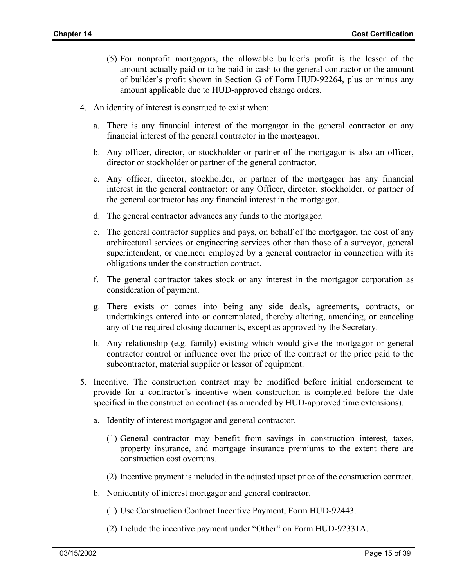- (5) For nonprofit mortgagors, the allowable builder's profit is the lesser of the amount actually paid or to be paid in cash to the general contractor or the amount of builder's profit shown in Section G of Form HUD-92264, plus or minus any amount applicable due to HUD-approved change orders.
- 4. An identity of interest is construed to exist when:
	- a. There is any financial interest of the mortgagor in the general contractor or any financial interest of the general contractor in the mortgagor.
	- b. Any officer, director, or stockholder or partner of the mortgagor is also an officer, director or stockholder or partner of the general contractor.
	- c. Any officer, director, stockholder, or partner of the mortgagor has any financial interest in the general contractor; or any Officer, director, stockholder, or partner of the general contractor has any financial interest in the mortgagor.
	- d. The general contractor advances any funds to the mortgagor.
	- e. The general contractor supplies and pays, on behalf of the mortgagor, the cost of any architectural services or engineering services other than those of a surveyor, general superintendent, or engineer employed by a general contractor in connection with its obligations under the construction contract.
	- f. The general contractor takes stock or any interest in the mortgagor corporation as consideration of payment.
	- g. There exists or comes into being any side deals, agreements, contracts, or undertakings entered into or contemplated, thereby altering, amending, or canceling any of the required closing documents, except as approved by the Secretary.
	- h. Any relationship (e.g. family) existing which would give the mortgagor or general contractor control or influence over the price of the contract or the price paid to the subcontractor, material supplier or lessor of equipment.
- 5. Incentive. The construction contract may be modified before initial endorsement to provide for a contractor's incentive when construction is completed before the date specified in the construction contract (as amended by HUD-approved time extensions).
	- a. Identity of interest mortgagor and general contractor.
		- (1) General contractor may benefit from savings in construction interest, taxes, property insurance, and mortgage insurance premiums to the extent there are construction cost overruns.
		- (2) Incentive payment is included in the adjusted upset price of the construction contract.
	- b. Nonidentity of interest mortgagor and general contractor.
		- (1) Use Construction Contract Incentive Payment, Form HUD-92443.
		- (2) Include the incentive payment under "Other" on Form HUD-92331A.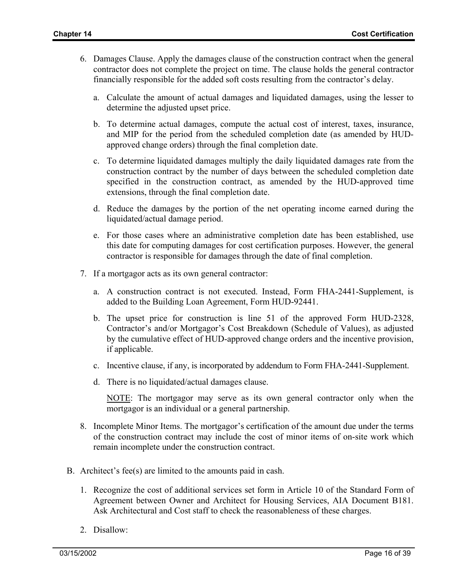- 6. Damages Clause. Apply the damages clause of the construction contract when the general contractor does not complete the project on time. The clause holds the general contractor financially responsible for the added soft costs resulting from the contractor's delay.
	- a. Calculate the amount of actual damages and liquidated damages, using the lesser to determine the adjusted upset price.
	- b. To determine actual damages, compute the actual cost of interest, taxes, insurance, and MIP for the period from the scheduled completion date (as amended by HUDapproved change orders) through the final completion date.
	- c. To determine liquidated damages multiply the daily liquidated damages rate from the construction contract by the number of days between the scheduled completion date specified in the construction contract, as amended by the HUD-approved time extensions, through the final completion date.
	- d. Reduce the damages by the portion of the net operating income earned during the liquidated/actual damage period.
	- e. For those cases where an administrative completion date has been established, use this date for computing damages for cost certification purposes. However, the general contractor is responsible for damages through the date of final completion.
- 7. If a mortgagor acts as its own general contractor:
	- a. A construction contract is not executed. Instead, Form FHA-2441-Supplement, is added to the Building Loan Agreement, Form HUD-92441.
	- b. The upset price for construction is line 51 of the approved Form HUD-2328, Contractor's and/or Mortgagor's Cost Breakdown (Schedule of Values), as adjusted by the cumulative effect of HUD-approved change orders and the incentive provision, if applicable.
	- c. Incentive clause, if any, is incorporated by addendum to Form FHA-2441-Supplement.
	- d. There is no liquidated/actual damages clause.

NOTE: The mortgagor may serve as its own general contractor only when the mortgagor is an individual or a general partnership.

- 8. Incomplete Minor Items. The mortgagor's certification of the amount due under the terms of the construction contract may include the cost of minor items of on-site work which remain incomplete under the construction contract.
- B. Architect's fee(s) are limited to the amounts paid in cash.
	- 1. Recognize the cost of additional services set form in Article 10 of the Standard Form of Agreement between Owner and Architect for Housing Services, AIA Document B181. Ask Architectural and Cost staff to check the reasonableness of these charges.
	- 2. Disallow: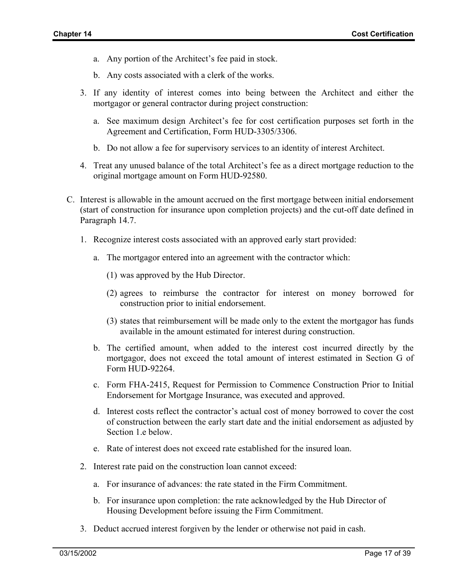- a. Any portion of the Architect's fee paid in stock.
- b. Any costs associated with a clerk of the works.
- 3. If any identity of interest comes into being between the Architect and either the mortgagor or general contractor during project construction:
	- a. See maximum design Architect's fee for cost certification purposes set forth in the Agreement and Certification, Form HUD-3305/3306.
	- b. Do not allow a fee for supervisory services to an identity of interest Architect.
- 4. Treat any unused balance of the total Architect's fee as a direct mortgage reduction to the original mortgage amount on Form HUD-92580.
- C. Interest is allowable in the amount accrued on the first mortgage between initial endorsement (start of construction for insurance upon completion projects) and the cut-off date defined in Paragraph 14.7.
	- 1. Recognize interest costs associated with an approved early start provided:
		- a. The mortgagor entered into an agreement with the contractor which:
			- (1) was approved by the Hub Director.
			- (2) agrees to reimburse the contractor for interest on money borrowed for construction prior to initial endorsement.
			- (3) states that reimbursement will be made only to the extent the mortgagor has funds available in the amount estimated for interest during construction.
		- b. The certified amount, when added to the interest cost incurred directly by the mortgagor, does not exceed the total amount of interest estimated in Section G of Form HUD-92264.
		- c. Form FHA-2415, Request for Permission to Commence Construction Prior to Initial Endorsement for Mortgage Insurance, was executed and approved.
		- d. Interest costs reflect the contractor's actual cost of money borrowed to cover the cost of construction between the early start date and the initial endorsement as adjusted by Section 1.e below.
		- e. Rate of interest does not exceed rate established for the insured loan.
	- 2. Interest rate paid on the construction loan cannot exceed:
		- a. For insurance of advances: the rate stated in the Firm Commitment.
		- b. For insurance upon completion: the rate acknowledged by the Hub Director of Housing Development before issuing the Firm Commitment.
	- 3. Deduct accrued interest forgiven by the lender or otherwise not paid in cash.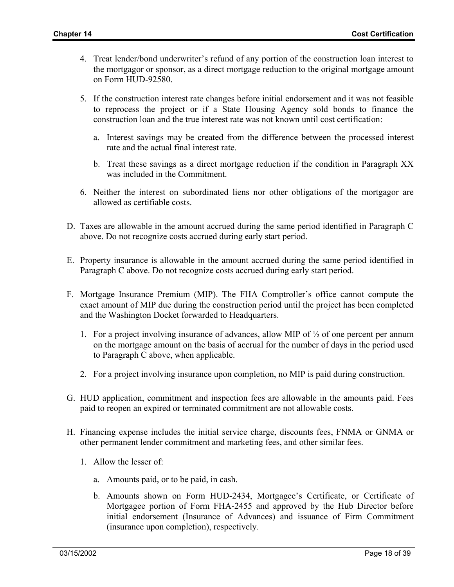- 4. Treat lender/bond underwriter's refund of any portion of the construction loan interest to the mortgagor or sponsor, as a direct mortgage reduction to the original mortgage amount on Form HUD-92580.
- 5. If the construction interest rate changes before initial endorsement and it was not feasible to reprocess the project or if a State Housing Agency sold bonds to finance the construction loan and the true interest rate was not known until cost certification:
	- a. Interest savings may be created from the difference between the processed interest rate and the actual final interest rate.
	- b. Treat these savings as a direct mortgage reduction if the condition in Paragraph XX was included in the Commitment.
- 6. Neither the interest on subordinated liens nor other obligations of the mortgagor are allowed as certifiable costs.
- D. Taxes are allowable in the amount accrued during the same period identified in Paragraph C above. Do not recognize costs accrued during early start period.
- E. Property insurance is allowable in the amount accrued during the same period identified in Paragraph C above. Do not recognize costs accrued during early start period.
- F. Mortgage Insurance Premium (MIP). The FHA Comptroller's office cannot compute the exact amount of MIP due during the construction period until the project has been completed and the Washington Docket forwarded to Headquarters.
	- 1. For a project involving insurance of advances, allow MIP of  $\frac{1}{2}$  of one percent per annum on the mortgage amount on the basis of accrual for the number of days in the period used to Paragraph C above, when applicable.
	- 2. For a project involving insurance upon completion, no MIP is paid during construction.
- G. HUD application, commitment and inspection fees are allowable in the amounts paid. Fees paid to reopen an expired or terminated commitment are not allowable costs.
- H. Financing expense includes the initial service charge, discounts fees, FNMA or GNMA or other permanent lender commitment and marketing fees, and other similar fees.
	- 1. Allow the lesser of:
		- a. Amounts paid, or to be paid, in cash.
		- b. Amounts shown on Form HUD-2434, Mortgagee's Certificate, or Certificate of Mortgagee portion of Form FHA-2455 and approved by the Hub Director before initial endorsement (Insurance of Advances) and issuance of Firm Commitment (insurance upon completion), respectively.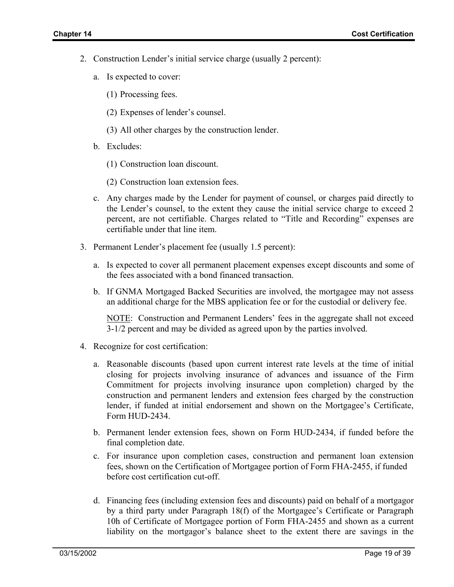- 2. Construction Lender's initial service charge (usually 2 percent):
	- a. Is expected to cover:
		- (1) Processing fees.
		- (2) Expenses of lender's counsel.
		- (3) All other charges by the construction lender.
	- b. Excludes:
		- (1) Construction loan discount.
		- (2) Construction loan extension fees.
	- c. Any charges made by the Lender for payment of counsel, or charges paid directly to the Lender's counsel, to the extent they cause the initial service charge to exceed 2 percent, are not certifiable. Charges related to "Title and Recording" expenses are certifiable under that line item.
- 3. Permanent Lender's placement fee (usually 1.5 percent):
	- a. Is expected to cover all permanent placement expenses except discounts and some of the fees associated with a bond financed transaction.
	- b. If GNMA Mortgaged Backed Securities are involved, the mortgagee may not assess an additional charge for the MBS application fee or for the custodial or delivery fee.

NOTE: Construction and Permanent Lenders' fees in the aggregate shall not exceed 3-1/2 percent and may be divided as agreed upon by the parties involved.

- 4. Recognize for cost certification:
	- a. Reasonable discounts (based upon current interest rate levels at the time of initial closing for projects involving insurance of advances and issuance of the Firm Commitment for projects involving insurance upon completion) charged by the construction and permanent lenders and extension fees charged by the construction lender, if funded at initial endorsement and shown on the Mortgagee's Certificate, Form HUD-2434.
	- b. Permanent lender extension fees, shown on Form HUD-2434, if funded before the final completion date.
	- c. For insurance upon completion cases, construction and permanent loan extension fees, shown on the Certification of Mortgagee portion of Form FHA-2455, if funded before cost certification cut-off.
	- d. Financing fees (including extension fees and discounts) paid on behalf of a mortgagor by a third party under Paragraph 18(f) of the Mortgagee's Certificate or Paragraph 10h of Certificate of Mortgagee portion of Form FHA-2455 and shown as a current liability on the mortgagor's balance sheet to the extent there are savings in the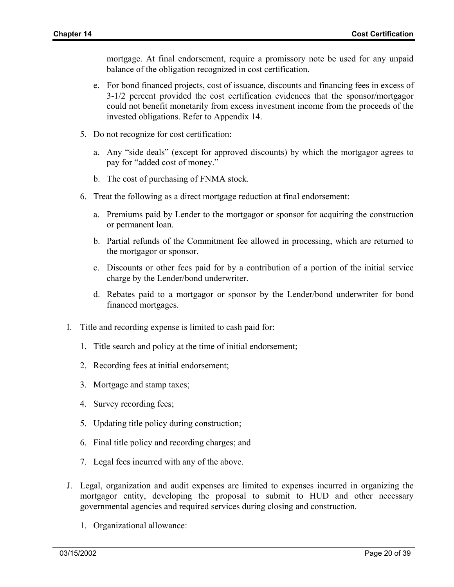mortgage. At final endorsement, require a promissory note be used for any unpaid balance of the obligation recognized in cost certification.

- e. For bond financed projects, cost of issuance, discounts and financing fees in excess of 3-1/2 percent provided the cost certification evidences that the sponsor/mortgagor could not benefit monetarily from excess investment income from the proceeds of the invested obligations. Refer to Appendix 14.
- 5. Do not recognize for cost certification:
	- a. Any "side deals" (except for approved discounts) by which the mortgagor agrees to pay for "added cost of money."
	- b. The cost of purchasing of FNMA stock.
- 6. Treat the following as a direct mortgage reduction at final endorsement:
	- a. Premiums paid by Lender to the mortgagor or sponsor for acquiring the construction or permanent loan.
	- b. Partial refunds of the Commitment fee allowed in processing, which are returned to the mortgagor or sponsor.
	- c. Discounts or other fees paid for by a contribution of a portion of the initial service charge by the Lender/bond underwriter.
	- d. Rebates paid to a mortgagor or sponsor by the Lender/bond underwriter for bond financed mortgages.
- I. Title and recording expense is limited to cash paid for:
	- 1. Title search and policy at the time of initial endorsement;
	- 2. Recording fees at initial endorsement;
	- 3. Mortgage and stamp taxes;
	- 4. Survey recording fees;
	- 5. Updating title policy during construction;
	- 6. Final title policy and recording charges; and
	- 7. Legal fees incurred with any of the above.
- J. Legal, organization and audit expenses are limited to expenses incurred in organizing the mortgagor entity, developing the proposal to submit to HUD and other necessary governmental agencies and required services during closing and construction.
	- 1. Organizational allowance: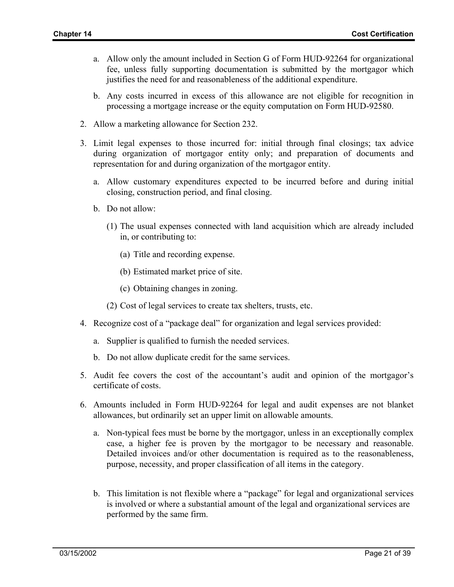- a. Allow only the amount included in Section G of Form HUD-92264 for organizational fee, unless fully supporting documentation is submitted by the mortgagor which justifies the need for and reasonableness of the additional expenditure.
- b. Any costs incurred in excess of this allowance are not eligible for recognition in processing a mortgage increase or the equity computation on Form HUD-92580.
- 2. Allow a marketing allowance for Section 232.
- 3. Limit legal expenses to those incurred for: initial through final closings; tax advice during organization of mortgagor entity only; and preparation of documents and representation for and during organization of the mortgagor entity.
	- a. Allow customary expenditures expected to be incurred before and during initial closing, construction period, and final closing.
	- b. Do not allow:
		- (1) The usual expenses connected with land acquisition which are already included in, or contributing to:
			- (a) Title and recording expense.
			- (b) Estimated market price of site.
			- (c) Obtaining changes in zoning.
		- (2) Cost of legal services to create tax shelters, trusts, etc.
- 4. Recognize cost of a "package deal" for organization and legal services provided:
	- a. Supplier is qualified to furnish the needed services.
	- b. Do not allow duplicate credit for the same services.
- 5. Audit fee covers the cost of the accountant's audit and opinion of the mortgagor's certificate of costs.
- 6. Amounts included in Form HUD-92264 for legal and audit expenses are not blanket allowances, but ordinarily set an upper limit on allowable amounts.
	- a. Non-typical fees must be borne by the mortgagor, unless in an exceptionally complex case, a higher fee is proven by the mortgagor to be necessary and reasonable. Detailed invoices and/or other documentation is required as to the reasonableness, purpose, necessity, and proper classification of all items in the category.
	- b. This limitation is not flexible where a "package" for legal and organizational services is involved or where a substantial amount of the legal and organizational services are performed by the same firm.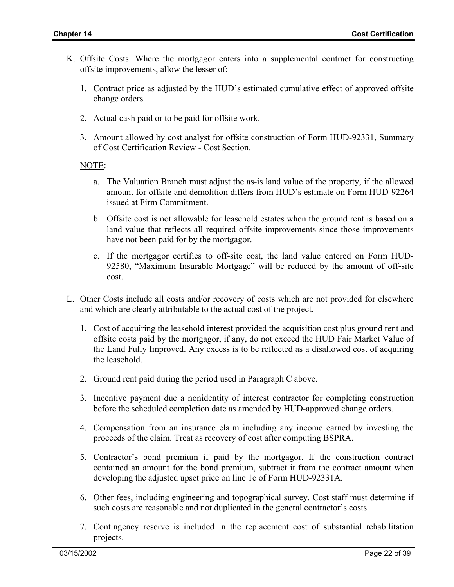- K. Offsite Costs. Where the mortgagor enters into a supplemental contract for constructing offsite improvements, allow the lesser of:
	- 1. Contract price as adjusted by the HUD's estimated cumulative effect of approved offsite change orders.
	- 2. Actual cash paid or to be paid for offsite work.
	- 3. Amount allowed by cost analyst for offsite construction of Form HUD-92331, Summary of Cost Certification Review - Cost Section.

### NOTE:

- a. The Valuation Branch must adjust the as-is land value of the property, if the allowed amount for offsite and demolition differs from HUD's estimate on Form HUD-92264 issued at Firm Commitment.
- b. Offsite cost is not allowable for leasehold estates when the ground rent is based on a land value that reflects all required offsite improvements since those improvements have not been paid for by the mortgagor.
- c. If the mortgagor certifies to off-site cost, the land value entered on Form HUD-92580, "Maximum Insurable Mortgage" will be reduced by the amount of off-site cost.
- L. Other Costs include all costs and/or recovery of costs which are not provided for elsewhere and which are clearly attributable to the actual cost of the project.
	- 1. Cost of acquiring the leasehold interest provided the acquisition cost plus ground rent and offsite costs paid by the mortgagor, if any, do not exceed the HUD Fair Market Value of the Land Fully Improved. Any excess is to be reflected as a disallowed cost of acquiring the leasehold.
	- 2. Ground rent paid during the period used in Paragraph C above.
	- 3. Incentive payment due a nonidentity of interest contractor for completing construction before the scheduled completion date as amended by HUD-approved change orders.
	- 4. Compensation from an insurance claim including any income earned by investing the proceeds of the claim. Treat as recovery of cost after computing BSPRA.
	- 5. Contractor's bond premium if paid by the mortgagor. If the construction contract contained an amount for the bond premium, subtract it from the contract amount when developing the adjusted upset price on line 1c of Form HUD-92331A.
	- 6. Other fees, including engineering and topographical survey. Cost staff must determine if such costs are reasonable and not duplicated in the general contractor's costs.
	- 7. Contingency reserve is included in the replacement cost of substantial rehabilitation projects.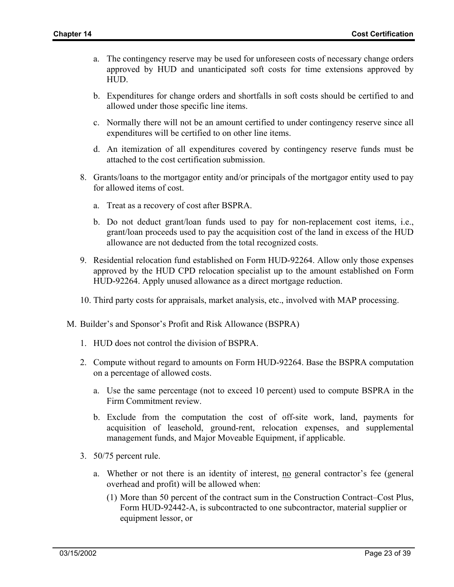- a. The contingency reserve may be used for unforeseen costs of necessary change orders approved by HUD and unanticipated soft costs for time extensions approved by HUD.
- b. Expenditures for change orders and shortfalls in soft costs should be certified to and allowed under those specific line items.
- c. Normally there will not be an amount certified to under contingency reserve since all expenditures will be certified to on other line items.
- d. An itemization of all expenditures covered by contingency reserve funds must be attached to the cost certification submission.
- 8. Grants/loans to the mortgagor entity and/or principals of the mortgagor entity used to pay for allowed items of cost.
	- a. Treat as a recovery of cost after BSPRA.
	- b. Do not deduct grant/loan funds used to pay for non-replacement cost items, i.e., grant/loan proceeds used to pay the acquisition cost of the land in excess of the HUD allowance are not deducted from the total recognized costs.
- 9. Residential relocation fund established on Form HUD-92264. Allow only those expenses approved by the HUD CPD relocation specialist up to the amount established on Form HUD-92264. Apply unused allowance as a direct mortgage reduction.
- 10. Third party costs for appraisals, market analysis, etc., involved with MAP processing.
- M. Builder's and Sponsor's Profit and Risk Allowance (BSPRA)
	- 1. HUD does not control the division of BSPRA.
	- 2. Compute without regard to amounts on Form HUD-92264. Base the BSPRA computation on a percentage of allowed costs.
		- a. Use the same percentage (not to exceed 10 percent) used to compute BSPRA in the Firm Commitment review.
		- b. Exclude from the computation the cost of off-site work, land, payments for acquisition of leasehold, ground-rent, relocation expenses, and supplemental management funds, and Major Moveable Equipment, if applicable.
	- 3. 50/75 percent rule.
		- a. Whether or not there is an identity of interest, no general contractor's fee (general overhead and profit) will be allowed when:
			- (1) More than 50 percent of the contract sum in the Construction Contract–Cost Plus, Form HUD-92442-A, is subcontracted to one subcontractor, material supplier or equipment lessor, or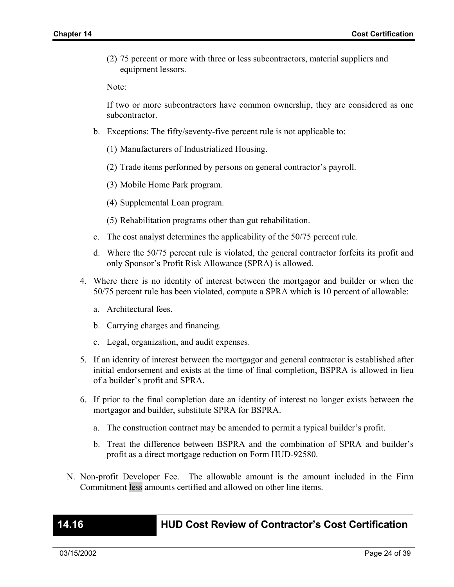(2) 75 percent or more with three or less subcontractors, material suppliers and equipment lessors.

Note:

If two or more subcontractors have common ownership, they are considered as one subcontractor.

- b. Exceptions: The fifty/seventy-five percent rule is not applicable to:
	- (1) Manufacturers of Industrialized Housing.
	- (2) Trade items performed by persons on general contractor's payroll.
	- (3) Mobile Home Park program.
	- (4) Supplemental Loan program.
	- (5) Rehabilitation programs other than gut rehabilitation.
- c. The cost analyst determines the applicability of the 50/75 percent rule.
- d. Where the 50/75 percent rule is violated, the general contractor forfeits its profit and only Sponsor's Profit Risk Allowance (SPRA) is allowed.
- 4. Where there is no identity of interest between the mortgagor and builder or when the 50/75 percent rule has been violated, compute a SPRA which is 10 percent of allowable:
	- a. Architectural fees.
	- b. Carrying charges and financing.
	- c. Legal, organization, and audit expenses.
- 5. If an identity of interest between the mortgagor and general contractor is established after initial endorsement and exists at the time of final completion, BSPRA is allowed in lieu of a builder's profit and SPRA.
- 6. If prior to the final completion date an identity of interest no longer exists between the mortgagor and builder, substitute SPRA for BSPRA.
	- a. The construction contract may be amended to permit a typical builder's profit.
	- b. Treat the difference between BSPRA and the combination of SPRA and builder's profit as a direct mortgage reduction on Form HUD-92580.
- N. Non-profit Developer Fee. The allowable amount is the amount included in the Firm Commitment less amounts certified and allowed on other line items.

**14.16 HUD Cost Review of Contractor's Cost Certification**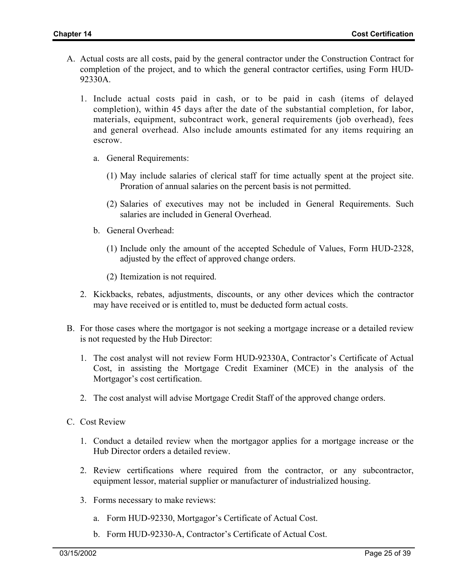- A. Actual costs are all costs, paid by the general contractor under the Construction Contract for completion of the project, and to which the general contractor certifies, using Form HUD-92330A.
	- 1. Include actual costs paid in cash, or to be paid in cash (items of delayed completion), within 45 days after the date of the substantial completion, for labor, materials, equipment, subcontract work, general requirements (job overhead), fees and general overhead. Also include amounts estimated for any items requiring an escrow.
		- a. General Requirements:
			- (1) May include salaries of clerical staff for time actually spent at the project site. Proration of annual salaries on the percent basis is not permitted.
			- (2) Salaries of executives may not be included in General Requirements. Such salaries are included in General Overhead.
		- b. General Overhead:
			- (1) Include only the amount of the accepted Schedule of Values, Form HUD-2328, adjusted by the effect of approved change orders.
			- (2) Itemization is not required.
	- 2. Kickbacks, rebates, adjustments, discounts, or any other devices which the contractor may have received or is entitled to, must be deducted form actual costs.
- B. For those cases where the mortgagor is not seeking a mortgage increase or a detailed review is not requested by the Hub Director:
	- 1. The cost analyst will not review Form HUD-92330A, Contractor's Certificate of Actual Cost, in assisting the Mortgage Credit Examiner (MCE) in the analysis of the Mortgagor's cost certification.
	- 2. The cost analyst will advise Mortgage Credit Staff of the approved change orders.
- C. Cost Review
	- 1. Conduct a detailed review when the mortgagor applies for a mortgage increase or the Hub Director orders a detailed review.
	- 2. Review certifications where required from the contractor, or any subcontractor, equipment lessor, material supplier or manufacturer of industrialized housing.
	- 3. Forms necessary to make reviews:
		- a. Form HUD-92330, Mortgagor's Certificate of Actual Cost.
		- b. Form HUD-92330-A, Contractor's Certificate of Actual Cost.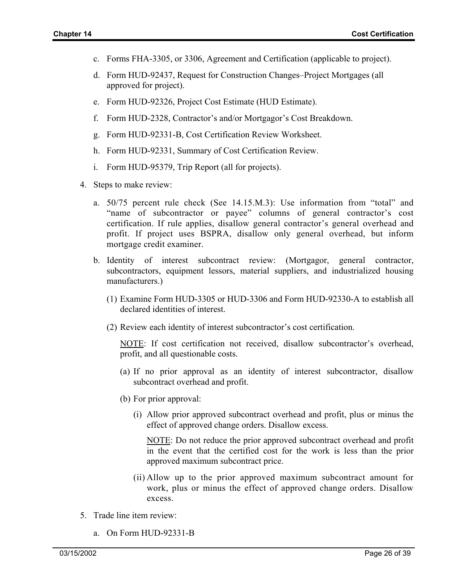- c. Forms FHA-3305, or 3306, Agreement and Certification (applicable to project).
- d. Form HUD-92437, Request for Construction Changes–Project Mortgages (all approved for project).
- e. Form HUD-92326, Project Cost Estimate (HUD Estimate).
- f. Form HUD-2328, Contractor's and/or Mortgagor's Cost Breakdown.
- g. Form HUD-92331-B, Cost Certification Review Worksheet.
- h. Form HUD-92331, Summary of Cost Certification Review.
- i. Form HUD-95379, Trip Report (all for projects).
- 4. Steps to make review:
	- a. 50/75 percent rule check (See 14.15.M.3): Use information from "total" and "name of subcontractor or payee" columns of general contractor's cost certification. If rule applies, disallow general contractor's general overhead and profit. If project uses BSPRA, disallow only general overhead, but inform mortgage credit examiner.
	- b. Identity of interest subcontract review: (Mortgagor, general contractor, subcontractors, equipment lessors, material suppliers, and industrialized housing manufacturers.)
		- (1) Examine Form HUD-3305 or HUD-3306 and Form HUD-92330-A to establish all declared identities of interest.
		- (2) Review each identity of interest subcontractor's cost certification.

NOTE: If cost certification not received, disallow subcontractor's overhead, profit, and all questionable costs.

- (a) If no prior approval as an identity of interest subcontractor, disallow subcontract overhead and profit.
- (b) For prior approval:
	- (i) Allow prior approved subcontract overhead and profit, plus or minus the effect of approved change orders. Disallow excess.

NOTE: Do not reduce the prior approved subcontract overhead and profit in the event that the certified cost for the work is less than the prior approved maximum subcontract price.

- (ii) Allow up to the prior approved maximum subcontract amount for work, plus or minus the effect of approved change orders. Disallow excess.
- 5. Trade line item review:
	- a. On Form HUD-92331-B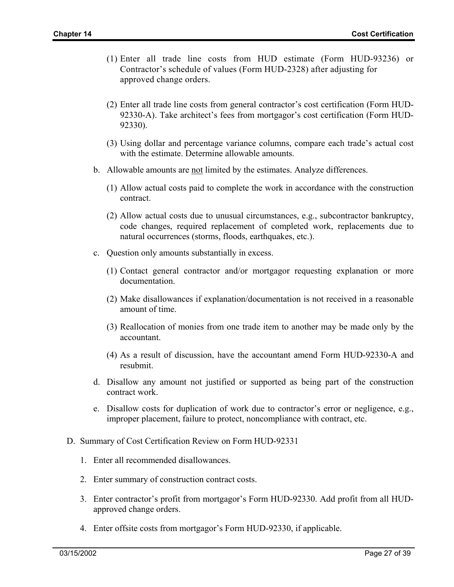- (1) Enter all trade line costs from HUD estimate (Form HUD-93236) or Contractor's schedule of values (Form HUD-2328) after adjusting for approved change orders.
- (2) Enter all trade line costs from general contractor's cost certification (Form HUD-92330-A). Take architect's fees from mortgagor's cost certification (Form HUD-92330).
- (3) Using dollar and percentage variance columns, compare each trade's actual cost with the estimate. Determine allowable amounts.
- b. Allowable amounts are not limited by the estimates. Analyze differences.
	- (1) Allow actual costs paid to complete the work in accordance with the construction contract.
	- (2) Allow actual costs due to unusual circumstances, e.g., subcontractor bankruptcy, code changes, required replacement of completed work, replacements due to natural occurrences (storms, floods, earthquakes, etc.).
- c. Question only amounts substantially in excess.
	- (1) Contact general contractor and/or mortgagor requesting explanation or more documentation.
	- (2) Make disallowances if explanation/documentation is not received in a reasonable amount of time.
	- (3) Reallocation of monies from one trade item to another may be made only by the accountant.
	- (4) As a result of discussion, have the accountant amend Form HUD-92330-A and resubmit.
- d. Disallow any amount not justified or supported as being part of the construction contract work.
- e. Disallow costs for duplication of work due to contractor's error or negligence, e.g., improper placement, failure to protect, noncompliance with contract, etc.
- D. Summary of Cost Certification Review on Form HUD-92331
	- 1. Enter all recommended disallowances.
	- 2. Enter summary of construction contract costs.
	- 3. Enter contractor's profit from mortgagor's Form HUD-92330. Add profit from all HUDapproved change orders.
	- 4. Enter offsite costs from mortgagor's Form HUD-92330, if applicable.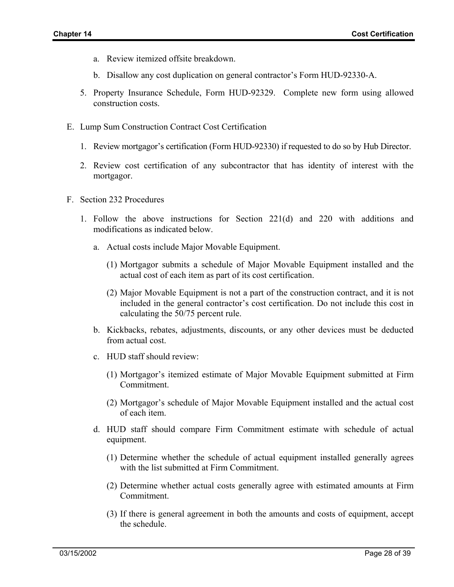- a. Review itemized offsite breakdown.
- b. Disallow any cost duplication on general contractor's Form HUD-92330-A.
- 5. Property Insurance Schedule, Form HUD-92329. Complete new form using allowed construction costs.
- E. Lump Sum Construction Contract Cost Certification
	- 1. Review mortgagor's certification (Form HUD-92330) if requested to do so by Hub Director.
	- 2. Review cost certification of any subcontractor that has identity of interest with the mortgagor.
- F. Section 232 Procedures
	- 1. Follow the above instructions for Section 221(d) and 220 with additions and modifications as indicated below.
		- a. Actual costs include Major Movable Equipment.
			- (1) Mortgagor submits a schedule of Major Movable Equipment installed and the actual cost of each item as part of its cost certification.
			- (2) Major Movable Equipment is not a part of the construction contract, and it is not included in the general contractor's cost certification. Do not include this cost in calculating the 50/75 percent rule.
		- b. Kickbacks, rebates, adjustments, discounts, or any other devices must be deducted from actual cost.
		- c. HUD staff should review:
			- (1) Mortgagor's itemized estimate of Major Movable Equipment submitted at Firm Commitment.
			- (2) Mortgagor's schedule of Major Movable Equipment installed and the actual cost of each item.
		- d. HUD staff should compare Firm Commitment estimate with schedule of actual equipment.
			- (1) Determine whether the schedule of actual equipment installed generally agrees with the list submitted at Firm Commitment.
			- (2) Determine whether actual costs generally agree with estimated amounts at Firm Commitment.
			- (3) If there is general agreement in both the amounts and costs of equipment, accept the schedule.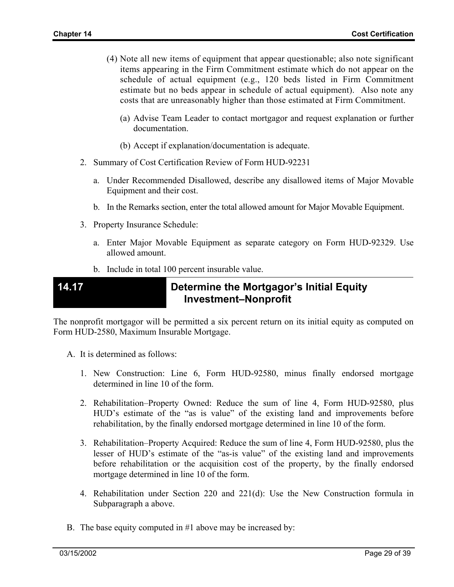- (4) Note all new items of equipment that appear questionable; also note significant items appearing in the Firm Commitment estimate which do not appear on the schedule of actual equipment (e.g., 120 beds listed in Firm Commitment estimate but no beds appear in schedule of actual equipment). Also note any costs that are unreasonably higher than those estimated at Firm Commitment.
	- (a) Advise Team Leader to contact mortgagor and request explanation or further documentation.
	- (b) Accept if explanation/documentation is adequate.
- 2. Summary of Cost Certification Review of Form HUD-92231
	- a. Under Recommended Disallowed, describe any disallowed items of Major Movable Equipment and their cost.
	- b. In the Remarks section, enter the total allowed amount for Major Movable Equipment.
- 3. Property Insurance Schedule:
	- a. Enter Major Movable Equipment as separate category on Form HUD-92329. Use allowed amount.
	- b. Include in total 100 percent insurable value.

### **14.17 Determine the Mortgagor's Initial Equity Investment–Nonprofit**

The nonprofit mortgagor will be permitted a six percent return on its initial equity as computed on Form HUD-2580, Maximum Insurable Mortgage.

- A. It is determined as follows:
	- 1. New Construction: Line 6, Form HUD-92580, minus finally endorsed mortgage determined in line 10 of the form.
	- 2. Rehabilitation–Property Owned: Reduce the sum of line 4, Form HUD-92580, plus HUD's estimate of the "as is value" of the existing land and improvements before rehabilitation, by the finally endorsed mortgage determined in line 10 of the form.
	- 3. Rehabilitation–Property Acquired: Reduce the sum of line 4, Form HUD-92580, plus the lesser of HUD's estimate of the "as-is value" of the existing land and improvements before rehabilitation or the acquisition cost of the property, by the finally endorsed mortgage determined in line 10 of the form.
	- 4. Rehabilitation under Section 220 and 221(d): Use the New Construction formula in Subparagraph a above.
- B. The base equity computed in #1 above may be increased by: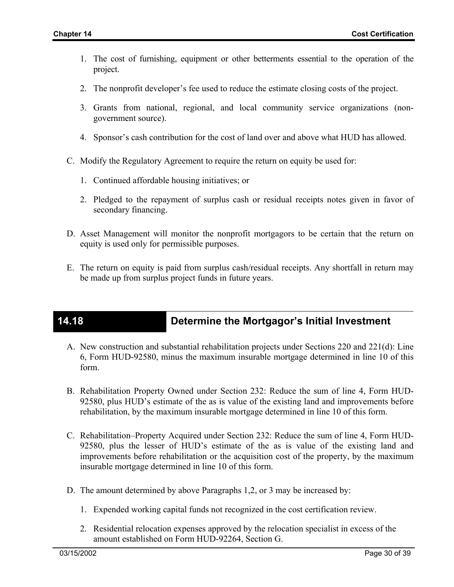- 1. The cost of furnishing, equipment or other betterments essential to the operation of the project.
- 2. The nonprofit developer's fee used to reduce the estimate closing costs of the project.
- 3. Grants from national, regional, and local community service organizations (nongovernment source).
- 4. Sponsor's cash contribution for the cost of land over and above what HUD has allowed.
- C. Modify the Regulatory Agreement to require the return on equity be used for:
	- 1. Continued affordable housing initiatives; or
	- 2. Pledged to the repayment of surplus cash or residual receipts notes given in favor of secondary financing.
- D. Asset Management will monitor the nonprofit mortgagors to be certain that the return on equity is used only for permissible purposes.
- E. The return on equity is paid from surplus cash/residual receipts. Any shortfall in return may be made up from surplus project funds in future years.

# **14.18 Determine the Mortgagor's Initial Investment**

- A. New construction and substantial rehabilitation projects under Sections 220 and 221(d): Line 6, Form HUD-92580, minus the maximum insurable mortgage determined in line 10 of this form.
- B. Rehabilitation Property Owned under Section 232: Reduce the sum of line 4, Form HUD-92580, plus HUD's estimate of the as is value of the existing land and improvements before rehabilitation, by the maximum insurable mortgage determined in line 10 of this form.
- C. Rehabilitation–Property Acquired under Section 232: Reduce the sum of line 4, Form HUD-92580, plus the lesser of HUD's estimate of the as is value of the existing land and improvements before rehabilitation or the acquisition cost of the property, by the maximum insurable mortgage determined in line 10 of this form.
- D. The amount determined by above Paragraphs 1,2, or 3 may be increased by:
	- 1. Expended working capital funds not recognized in the cost certification review.
	- 2. Residential relocation expenses approved by the relocation specialist in excess of the amount established on Form HUD-92264, Section G.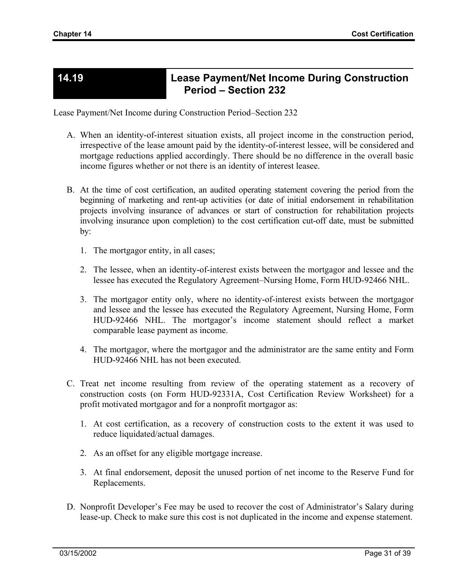### **14.19 Lease Payment/Net Income During Construction Period – Section 232**

Lease Payment/Net Income during Construction Period–Section 232

- A. When an identity-of-interest situation exists, all project income in the construction period, irrespective of the lease amount paid by the identity-of-interest lessee, will be considered and mortgage reductions applied accordingly. There should be no difference in the overall basic income figures whether or not there is an identity of interest leasee.
- B. At the time of cost certification, an audited operating statement covering the period from the beginning of marketing and rent-up activities (or date of initial endorsement in rehabilitation projects involving insurance of advances or start of construction for rehabilitation projects involving insurance upon completion) to the cost certification cut-off date, must be submitted by:
	- 1. The mortgagor entity, in all cases;
	- 2. The lessee, when an identity-of-interest exists between the mortgagor and lessee and the lessee has executed the Regulatory Agreement–Nursing Home, Form HUD-92466 NHL.
	- 3. The mortgagor entity only, where no identity-of-interest exists between the mortgagor and lessee and the lessee has executed the Regulatory Agreement, Nursing Home, Form HUD-92466 NHL. The mortgagor's income statement should reflect a market comparable lease payment as income.
	- 4. The mortgagor, where the mortgagor and the administrator are the same entity and Form HUD-92466 NHL has not been executed.
- C. Treat net income resulting from review of the operating statement as a recovery of construction costs (on Form HUD-92331A, Cost Certification Review Worksheet) for a profit motivated mortgagor and for a nonprofit mortgagor as:
	- 1. At cost certification, as a recovery of construction costs to the extent it was used to reduce liquidated/actual damages.
	- 2. As an offset for any eligible mortgage increase.
	- 3. At final endorsement, deposit the unused portion of net income to the Reserve Fund for Replacements.
- D. Nonprofit Developer's Fee may be used to recover the cost of Administrator's Salary during lease-up. Check to make sure this cost is not duplicated in the income and expense statement.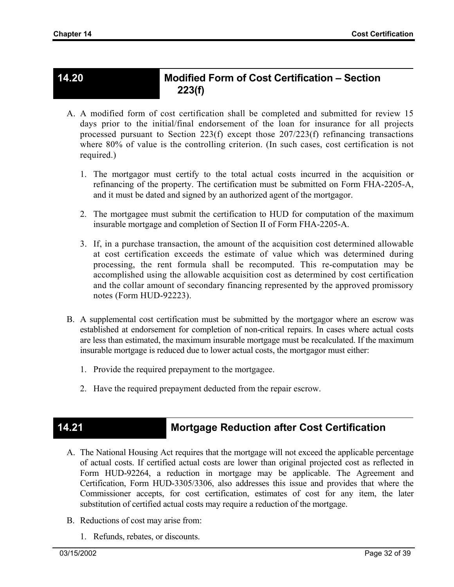### **14.20 Modified Form of Cost Certification – Section 223(f)**

- A. A modified form of cost certification shall be completed and submitted for review 15 days prior to the initial/final endorsement of the loan for insurance for all projects processed pursuant to Section 223(f) except those 207/223(f) refinancing transactions where 80% of value is the controlling criterion. (In such cases, cost certification is not required.)
	- 1. The mortgagor must certify to the total actual costs incurred in the acquisition or refinancing of the property. The certification must be submitted on Form FHA-2205-A, and it must be dated and signed by an authorized agent of the mortgagor.
	- 2. The mortgagee must submit the certification to HUD for computation of the maximum insurable mortgage and completion of Section II of Form FHA-2205-A.
	- 3. If, in a purchase transaction, the amount of the acquisition cost determined allowable at cost certification exceeds the estimate of value which was determined during processing, the rent formula shall be recomputed. This re-computation may be accomplished using the allowable acquisition cost as determined by cost certification and the collar amount of secondary financing represented by the approved promissory notes (Form HUD-92223).
- B. A supplemental cost certification must be submitted by the mortgagor where an escrow was established at endorsement for completion of non-critical repairs. In cases where actual costs are less than estimated, the maximum insurable mortgage must be recalculated. If the maximum insurable mortgage is reduced due to lower actual costs, the mortgagor must either:
	- 1. Provide the required prepayment to the mortgagee.
	- 2. Have the required prepayment deducted from the repair escrow.

# **14.21 Mortgage Reduction after Cost Certification**

- A. The National Housing Act requires that the mortgage will not exceed the applicable percentage of actual costs. If certified actual costs are lower than original projected cost as reflected in Form HUD-92264, a reduction in mortgage may be applicable. The Agreement and Certification, Form HUD-3305/3306, also addresses this issue and provides that where the Commissioner accepts, for cost certification, estimates of cost for any item, the later substitution of certified actual costs may require a reduction of the mortgage.
- B. Reductions of cost may arise from:
	- 1. Refunds, rebates, or discounts.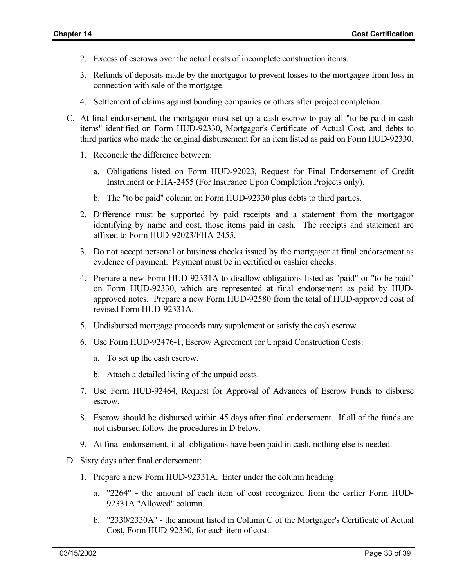- 2. Excess of escrows over the actual costs of incomplete construction items.
- 3. Refunds of deposits made by the mortgagor to prevent losses to the mortgagee from loss in connection with sale of the mortgage.
- 4. Settlement of claims against bonding companies or others after project completion.
- C. At final endorsement, the mortgagor must set up a cash escrow to pay all "to be paid in cash items" identified on Form HUD-92330, Mortgagor's Certificate of Actual Cost, and debts to third parties who made the original disbursement for an item listed as paid on Form HUD-92330.
	- 1. Reconcile the difference between:
		- a. Obligations listed on Form HUD-92023, Request for Final Endorsement of Credit Instrument or FHA-2455 (For Insurance Upon Completion Projects only).
		- b. The "to be paid" column on Form HUD-92330 plus debts to third parties.
	- 2. Difference must be supported by paid receipts and a statement from the mortgagor identifying by name and cost, those items paid in cash. The receipts and statement are affixed to Form HUD-92023/FHA-2455.
	- 3. Do not accept personal or business checks issued by the mortgagor at final endorsement as evidence of payment. Payment must be in certified or cashier checks.
	- 4. Prepare a new Form HUD-92331A to disallow obligations listed as "paid" or "to be paid" on Form HUD-92330, which are represented at final endorsement as paid by HUDapproved notes. Prepare a new Form HUD-92580 from the total of HUD-approved cost of revised Form HUD-92331A.
	- 5. Undisbursed mortgage proceeds may supplement or satisfy the cash escrow.
	- 6. Use Form HUD-92476-1, Escrow Agreement for Unpaid Construction Costs:
		- a. To set up the cash escrow.
		- b. Attach a detailed listing of the unpaid costs.
	- 7. Use Form HUD-92464, Request for Approval of Advances of Escrow Funds to disburse escrow.
	- 8. Escrow should be disbursed within 45 days after final endorsement. If all of the funds are not disbursed follow the procedures in D below.
	- 9. At final endorsement, if all obligations have been paid in cash, nothing else is needed.
- D. Sixty days after final endorsement:
	- 1. Prepare a new Form HUD-92331A. Enter under the column heading:
		- a. "2264" the amount of each item of cost recognized from the earlier Form HUD-92331A "Allowed" column.
		- b. "2330/2330A" the amount listed in Column C of the Mortgagor's Certificate of Actual Cost, Form HUD-92330, for each item of cost.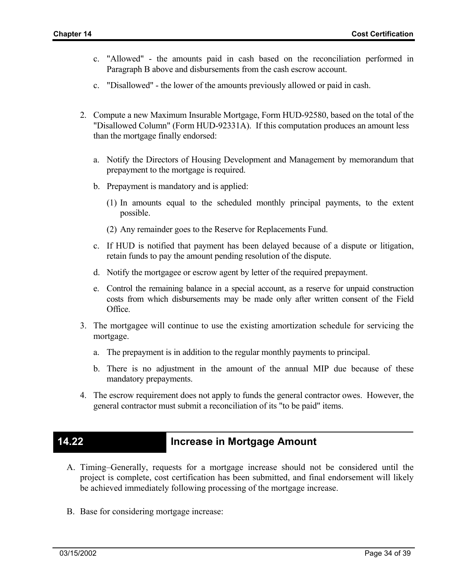- c. "Allowed" the amounts paid in cash based on the reconciliation performed in Paragraph B above and disbursements from the cash escrow account.
- c. "Disallowed" the lower of the amounts previously allowed or paid in cash.
- 2. Compute a new Maximum Insurable Mortgage, Form HUD-92580, based on the total of the "Disallowed Column" (Form HUD-92331A). If this computation produces an amount less than the mortgage finally endorsed:
	- a. Notify the Directors of Housing Development and Management by memorandum that prepayment to the mortgage is required.
	- b. Prepayment is mandatory and is applied:
		- (1) In amounts equal to the scheduled monthly principal payments, to the extent possible.
		- (2) Any remainder goes to the Reserve for Replacements Fund.
	- c. If HUD is notified that payment has been delayed because of a dispute or litigation, retain funds to pay the amount pending resolution of the dispute.
	- d. Notify the mortgagee or escrow agent by letter of the required prepayment.
	- e. Control the remaining balance in a special account, as a reserve for unpaid construction costs from which disbursements may be made only after written consent of the Field Office.
- 3. The mortgagee will continue to use the existing amortization schedule for servicing the mortgage.
	- a. The prepayment is in addition to the regular monthly payments to principal.
	- b. There is no adjustment in the amount of the annual MIP due because of these mandatory prepayments.
- 4. The escrow requirement does not apply to funds the general contractor owes. However, the general contractor must submit a reconciliation of its "to be paid" items.

### **14.22 Increase in Mortgage Amount**

- A. Timing–Generally, requests for a mortgage increase should not be considered until the project is complete, cost certification has been submitted, and final endorsement will likely be achieved immediately following processing of the mortgage increase.
- B. Base for considering mortgage increase: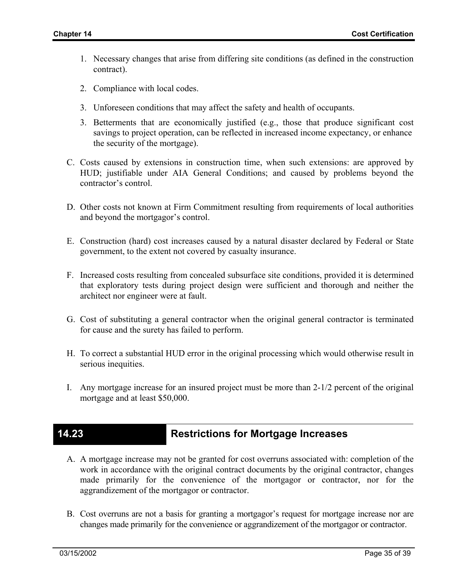- 1. Necessary changes that arise from differing site conditions (as defined in the construction contract).
- 2. Compliance with local codes.
- 3. Unforeseen conditions that may affect the safety and health of occupants.
- 3. Betterments that are economically justified (e.g., those that produce significant cost savings to project operation, can be reflected in increased income expectancy, or enhance the security of the mortgage).
- C. Costs caused by extensions in construction time, when such extensions: are approved by HUD; justifiable under AIA General Conditions; and caused by problems beyond the contractor's control.
- D. Other costs not known at Firm Commitment resulting from requirements of local authorities and beyond the mortgagor's control.
- E. Construction (hard) cost increases caused by a natural disaster declared by Federal or State government, to the extent not covered by casualty insurance.
- F. Increased costs resulting from concealed subsurface site conditions, provided it is determined that exploratory tests during project design were sufficient and thorough and neither the architect nor engineer were at fault.
- G. Cost of substituting a general contractor when the original general contractor is terminated for cause and the surety has failed to perform.
- H. To correct a substantial HUD error in the original processing which would otherwise result in serious inequities.
- I. Any mortgage increase for an insured project must be more than 2-1/2 percent of the original mortgage and at least \$50,000.

### **14.23 Restrictions for Mortgage Increases**

- A. A mortgage increase may not be granted for cost overruns associated with: completion of the work in accordance with the original contract documents by the original contractor, changes made primarily for the convenience of the mortgagor or contractor, nor for the aggrandizement of the mortgagor or contractor.
- B. Cost overruns are not a basis for granting a mortgagor's request for mortgage increase nor are changes made primarily for the convenience or aggrandizement of the mortgagor or contractor.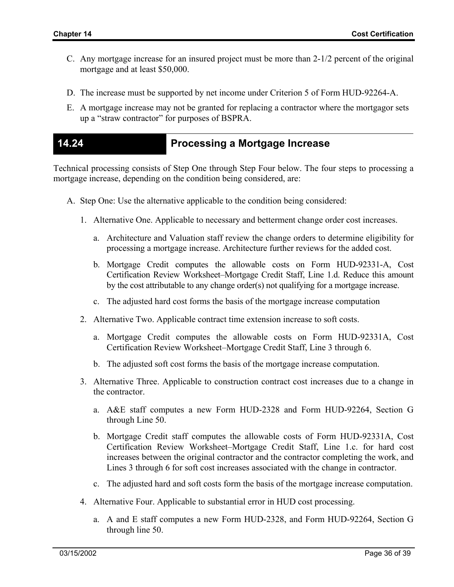- C. Any mortgage increase for an insured project must be more than 2-1/2 percent of the original mortgage and at least \$50,000.
- D. The increase must be supported by net income under Criterion 5 of Form HUD-92264-A.
- E. A mortgage increase may not be granted for replacing a contractor where the mortgagor sets up a "straw contractor" for purposes of BSPRA.

### **14.24 Processing a Mortgage Increase**

Technical processing consists of Step One through Step Four below. The four steps to processing a mortgage increase, depending on the condition being considered, are:

- A. Step One: Use the alternative applicable to the condition being considered:
	- 1. Alternative One. Applicable to necessary and betterment change order cost increases.
		- a. Architecture and Valuation staff review the change orders to determine eligibility for processing a mortgage increase. Architecture further reviews for the added cost.
		- b. Mortgage Credit computes the allowable costs on Form HUD-92331-A, Cost Certification Review Worksheet–Mortgage Credit Staff, Line 1.d. Reduce this amount by the cost attributable to any change order(s) not qualifying for a mortgage increase.
		- c. The adjusted hard cost forms the basis of the mortgage increase computation
	- 2. Alternative Two. Applicable contract time extension increase to soft costs.
		- a. Mortgage Credit computes the allowable costs on Form HUD-92331A, Cost Certification Review Worksheet–Mortgage Credit Staff, Line 3 through 6.
		- b. The adjusted soft cost forms the basis of the mortgage increase computation.
	- 3. Alternative Three. Applicable to construction contract cost increases due to a change in the contractor.
		- a. A&E staff computes a new Form HUD-2328 and Form HUD-92264, Section G through Line 50.
		- b. Mortgage Credit staff computes the allowable costs of Form HUD-92331A, Cost Certification Review Worksheet–Mortgage Credit Staff, Line 1.c. for hard cost increases between the original contractor and the contractor completing the work, and Lines 3 through 6 for soft cost increases associated with the change in contractor.
		- c. The adjusted hard and soft costs form the basis of the mortgage increase computation.
	- 4. Alternative Four. Applicable to substantial error in HUD cost processing.
		- a. A and E staff computes a new Form HUD-2328, and Form HUD-92264, Section G through line 50.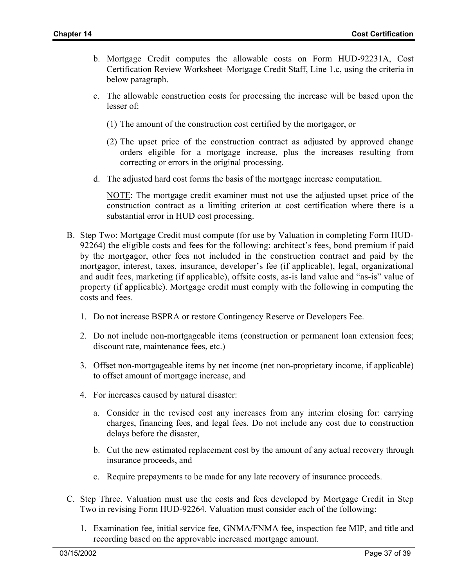- b. Mortgage Credit computes the allowable costs on Form HUD-92231A, Cost Certification Review Worksheet–Mortgage Credit Staff, Line 1.c, using the criteria in below paragraph.
- c. The allowable construction costs for processing the increase will be based upon the lesser of:
	- (1) The amount of the construction cost certified by the mortgagor, or
	- (2) The upset price of the construction contract as adjusted by approved change orders eligible for a mortgage increase, plus the increases resulting from correcting or errors in the original processing.
- d. The adjusted hard cost forms the basis of the mortgage increase computation.

NOTE: The mortgage credit examiner must not use the adjusted upset price of the construction contract as a limiting criterion at cost certification where there is a substantial error in HUD cost processing.

- B. Step Two: Mortgage Credit must compute (for use by Valuation in completing Form HUD-92264) the eligible costs and fees for the following: architect's fees, bond premium if paid by the mortgagor, other fees not included in the construction contract and paid by the mortgagor, interest, taxes, insurance, developer's fee (if applicable), legal, organizational and audit fees, marketing (if applicable), offsite costs, as-is land value and "as-is" value of property (if applicable). Mortgage credit must comply with the following in computing the costs and fees.
	- 1. Do not increase BSPRA or restore Contingency Reserve or Developers Fee.
	- 2. Do not include non-mortgageable items (construction or permanent loan extension fees; discount rate, maintenance fees, etc.)
	- 3. Offset non-mortgageable items by net income (net non-proprietary income, if applicable) to offset amount of mortgage increase, and
	- 4. For increases caused by natural disaster:
		- a. Consider in the revised cost any increases from any interim closing for: carrying charges, financing fees, and legal fees. Do not include any cost due to construction delays before the disaster,
		- b. Cut the new estimated replacement cost by the amount of any actual recovery through insurance proceeds, and
		- c. Require prepayments to be made for any late recovery of insurance proceeds.
- C. Step Three. Valuation must use the costs and fees developed by Mortgage Credit in Step Two in revising Form HUD-92264. Valuation must consider each of the following:
	- 1. Examination fee, initial service fee, GNMA/FNMA fee, inspection fee MIP, and title and recording based on the approvable increased mortgage amount.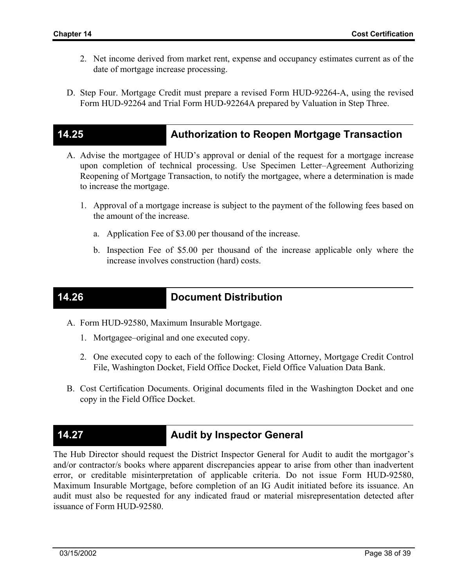- 2. Net income derived from market rent, expense and occupancy estimates current as of the date of mortgage increase processing.
- D. Step Four. Mortgage Credit must prepare a revised Form HUD-92264-A, using the revised Form HUD-92264 and Trial Form HUD-92264A prepared by Valuation in Step Three.

### **14.25 Authorization to Reopen Mortgage Transaction**

- A. Advise the mortgagee of HUD's approval or denial of the request for a mortgage increase upon completion of technical processing. Use Specimen Letter–Agreement Authorizing Reopening of Mortgage Transaction, to notify the mortgagee, where a determination is made to increase the mortgage.
	- 1. Approval of a mortgage increase is subject to the payment of the following fees based on the amount of the increase.
		- a. Application Fee of \$3.00 per thousand of the increase.
		- b. Inspection Fee of \$5.00 per thousand of the increase applicable only where the increase involves construction (hard) costs.

### **14.26 Document Distribution**

- A. Form HUD-92580, Maximum Insurable Mortgage.
	- 1. Mortgagee–original and one executed copy.
	- 2. One executed copy to each of the following: Closing Attorney, Mortgage Credit Control File, Washington Docket, Field Office Docket, Field Office Valuation Data Bank.
- B. Cost Certification Documents. Original documents filed in the Washington Docket and one copy in the Field Office Docket.

### **14.27 Audit by Inspector General**

The Hub Director should request the District Inspector General for Audit to audit the mortgagor's and/or contractor/s books where apparent discrepancies appear to arise from other than inadvertent error, or creditable misinterpretation of applicable criteria. Do not issue Form HUD-92580, Maximum Insurable Mortgage, before completion of an IG Audit initiated before its issuance. An audit must also be requested for any indicated fraud or material misrepresentation detected after issuance of Form HUD-92580.